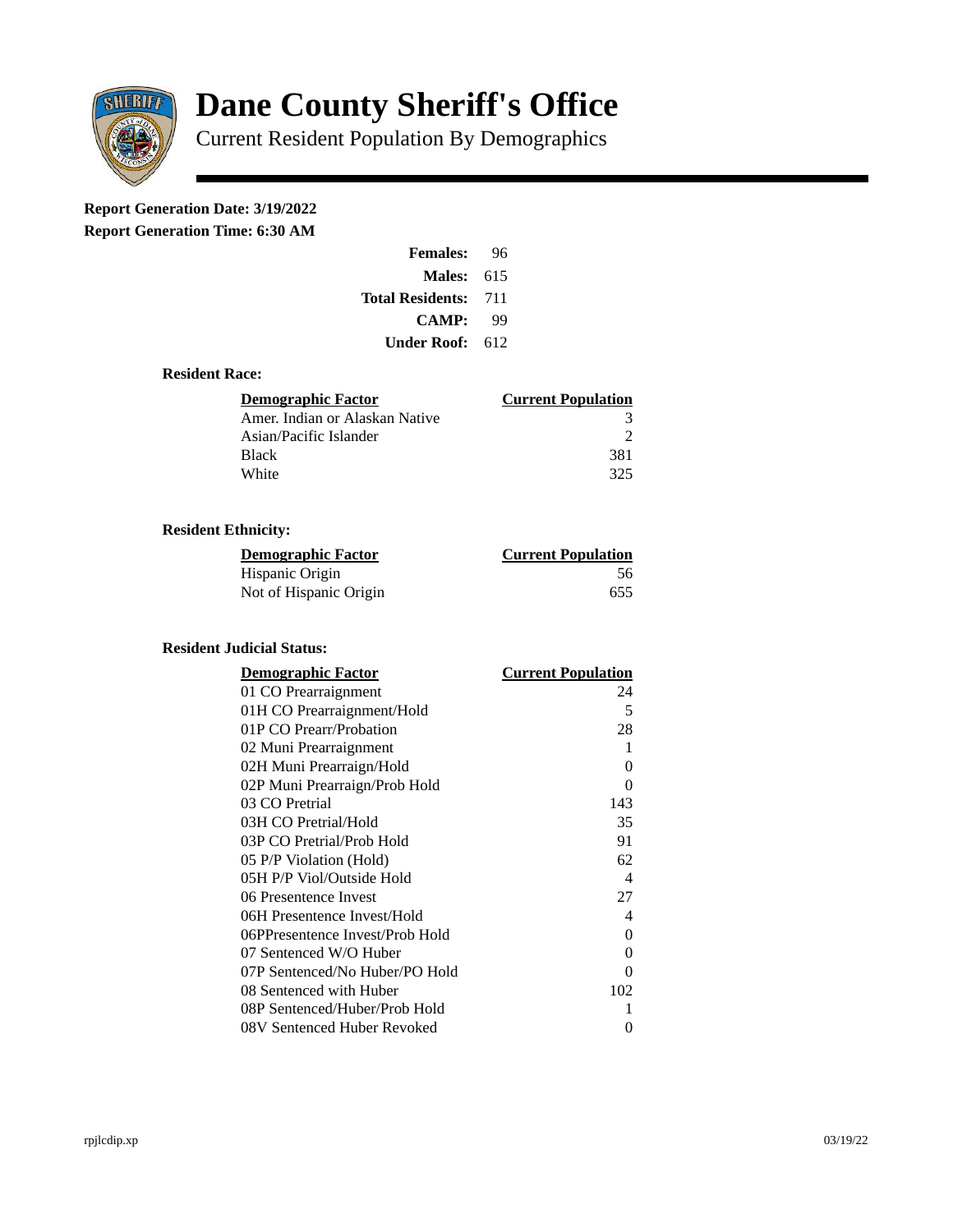

# **Dane County Sheriff's Office**

Current Resident Population By Demographics

# **Report Generation Date: 3/19/2022**

**Report Generation Time: 6:30 AM** 

| <b>Females:</b>         | 96  |  |
|-------------------------|-----|--|
| Males:                  | 615 |  |
| <b>Total Residents:</b> | 711 |  |
| <b>CAMP:</b>            | qq  |  |
| Under Roof: .           | 612 |  |

### **Resident Race:**

| Demographic Factor             | <b>Current Population</b> |
|--------------------------------|---------------------------|
| Amer. Indian or Alaskan Native |                           |
| Asian/Pacific Islander         | ר                         |
| <b>Black</b>                   | 381                       |
| White                          | 325                       |

# **Resident Ethnicity:**

| <u> Demographic Factor</u> | <b>Current Population</b> |
|----------------------------|---------------------------|
| Hispanic Origin            | 56                        |
| Not of Hispanic Origin     | 655                       |

# **Resident Judicial Status:**

| <b>Demographic Factor</b>       | <b>Current Population</b> |
|---------------------------------|---------------------------|
| 01 CO Prearraignment            | 24                        |
| 01H CO Prearraignment/Hold      | 5                         |
| 01P CO Prearr/Probation         | 28                        |
| 02 Muni Prearraignment          | 1                         |
| 02H Muni Prearraign/Hold        | 0                         |
| 02P Muni Prearraign/Prob Hold   | 0                         |
| 03 CO Pretrial                  | 143                       |
| 03H CO Pretrial/Hold            | 35                        |
| 03P CO Pretrial/Prob Hold       | 91                        |
| 05 P/P Violation (Hold)         | 62                        |
| 05H P/P Viol/Outside Hold       | $\overline{\mathcal{A}}$  |
| 06 Presentence Invest           | 27                        |
| 06H Presentence Invest/Hold     | 4                         |
| 06PPresentence Invest/Prob Hold | 0                         |
| 07 Sentenced W/O Huber          | 0                         |
| 07P Sentenced/No Huber/PO Hold  | 0                         |
| 08 Sentenced with Huber         | 102                       |
| 08P Sentenced/Huber/Prob Hold   | 1                         |
| 08V Sentenced Huber Revoked     | 0                         |